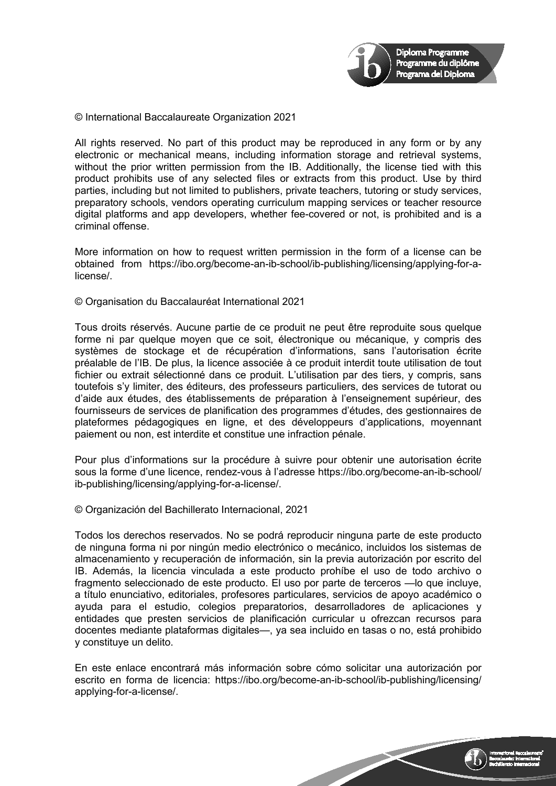

© International Baccalaureate Organization 2021

All rights reserved. No part of this product may be reproduced in any form or by any electronic or mechanical means, including information storage and retrieval systems, without the prior written permission from the IB. Additionally, the license tied with this product prohibits use of any selected files or extracts from this product. Use by third parties, including but not limited to publishers, private teachers, tutoring or study services, preparatory schools, vendors operating curriculum mapping services or teacher resource digital platforms and app developers, whether fee-covered or not, is prohibited and is a criminal offense.

More information on how to request written permission in the form of a license can be obtained from https://ibo.org/become-an-ib-school/ib-publishing/licensing/applying-for-alicense/.

© Organisation du Baccalauréat International 2021

Tous droits réservés. Aucune partie de ce produit ne peut être reproduite sous quelque forme ni par quelque moyen que ce soit, électronique ou mécanique, y compris des systèmes de stockage et de récupération d'informations, sans l'autorisation écrite préalable de l'IB. De plus, la licence associée à ce produit interdit toute utilisation de tout fichier ou extrait sélectionné dans ce produit. L'utilisation par des tiers, y compris, sans toutefois s'y limiter, des éditeurs, des professeurs particuliers, des services de tutorat ou d'aide aux études, des établissements de préparation à l'enseignement supérieur, des fournisseurs de services de planification des programmes d'études, des gestionnaires de plateformes pédagogiques en ligne, et des développeurs d'applications, moyennant paiement ou non, est interdite et constitue une infraction pénale.

Pour plus d'informations sur la procédure à suivre pour obtenir une autorisation écrite sous la forme d'une licence, rendez-vous à l'adresse https://ibo.org/become-an-ib-school/ ib-publishing/licensing/applying-for-a-license/.

© Organización del Bachillerato Internacional, 2021

Todos los derechos reservados. No se podrá reproducir ninguna parte de este producto de ninguna forma ni por ningún medio electrónico o mecánico, incluidos los sistemas de almacenamiento y recuperación de información, sin la previa autorización por escrito del IB. Además, la licencia vinculada a este producto prohíbe el uso de todo archivo o fragmento seleccionado de este producto. El uso por parte de terceros —lo que incluye, a título enunciativo, editoriales, profesores particulares, servicios de apoyo académico o ayuda para el estudio, colegios preparatorios, desarrolladores de aplicaciones y entidades que presten servicios de planificación curricular u ofrezcan recursos para docentes mediante plataformas digitales—, ya sea incluido en tasas o no, está prohibido y constituye un delito.

En este enlace encontrará más información sobre cómo solicitar una autorización por escrito en forma de licencia: https://ibo.org/become-an-ib-school/ib-publishing/licensing/ applying-for-a-license/.

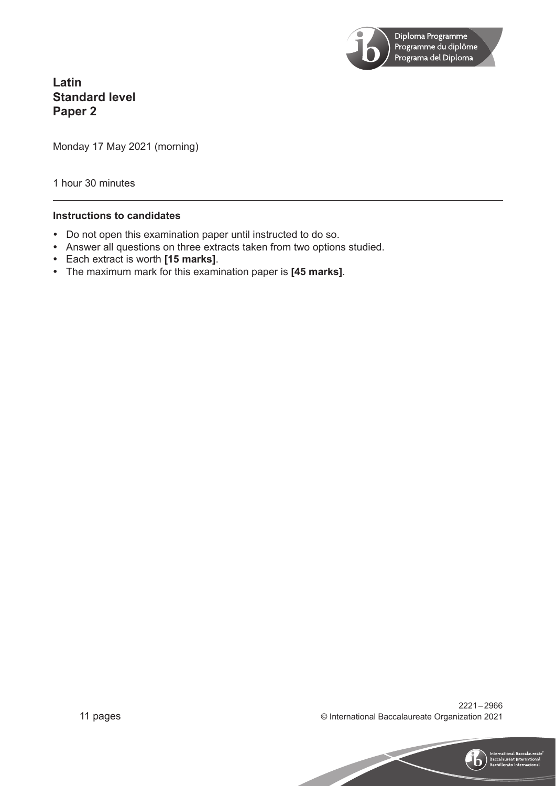

**Latin Standard level Paper 2**

Monday 17 May 2021 (morning)

1 hour 30 minutes

## **Instructions to candidates**

- Do not open this examination paper until instructed to do so.
- Answer all questions on three extracts taken from two options studied.
- y Each extract is worth **[15 marks]**.
- y The maximum mark for this examination paper is **[45 marks]**.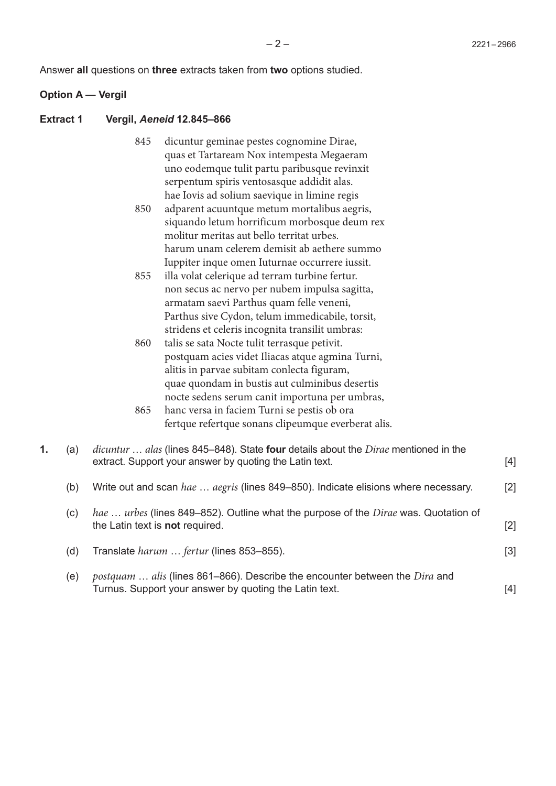Answer **all** questions on **three** extracts taken from **two** options studied.

#### **Option A — Vergil**

#### **Extract 1 Vergil,** *Aeneid* **12.845–866**

- dicuntur geminae pestes cognomine Dirae, quas et Tartaream Nox intempesta Megaeram uno eodemque tulit partu paribusque revinxit serpentum spiris ventosasque addidit alas. hae Iovis ad solium saevique in limine regis 845
- adparent acuuntque metum mortalibus aegris, siquando letum horrificum morbosque deum rex molitur meritas aut bello territat urbes. harum unam celerem demisit ab aethere summo Iuppiter inque omen Iuturnae occurrere iussit. 850
- illa volat celerique ad terram turbine fertur. non secus ac nervo per nubem impulsa sagitta, armatam saevi Parthus quam felle veneni, Parthus sive Cydon, telum immedicabile, torsit, stridens et celeris incognita transilit umbras: 855
- talis se sata Nocte tulit terrasque petivit. postquam acies videt Iliacas atque agmina Turni, alitis in parvae subitam conlecta figuram, quae quondam in bustis aut culminibus desertis nocte sedens serum canit importuna per umbras, 860
- hanc versa in faciem Turni se pestis ob ora fertque refertque sonans clipeumque everberat alis. 865

| 1. | (a) | <i>dicuntur  alas</i> (lines 845–848). State <b>four</b> details about the <i>Dirae</i> mentioned in the<br>extract. Support your answer by quoting the Latin text. | $[4]$ |
|----|-----|---------------------------------------------------------------------------------------------------------------------------------------------------------------------|-------|
|    | (b) | Write out and scan hae  aegris (lines 849–850). Indicate elisions where necessary.                                                                                  | $[2]$ |
|    | (C) | hae  urbes (lines 849–852). Outline what the purpose of the Dirae was. Quotation of<br>the Latin text is not required.                                              | $[2]$ |
|    | (d) | Translate <i>harum fertur</i> (lines 853–855).                                                                                                                      | $[3]$ |
|    | (e) | <i>postquam</i> alis (lines 861–866). Describe the encounter between the <i>Dira</i> and<br>Turnus. Support your answer by quoting the Latin text.                  | [4]   |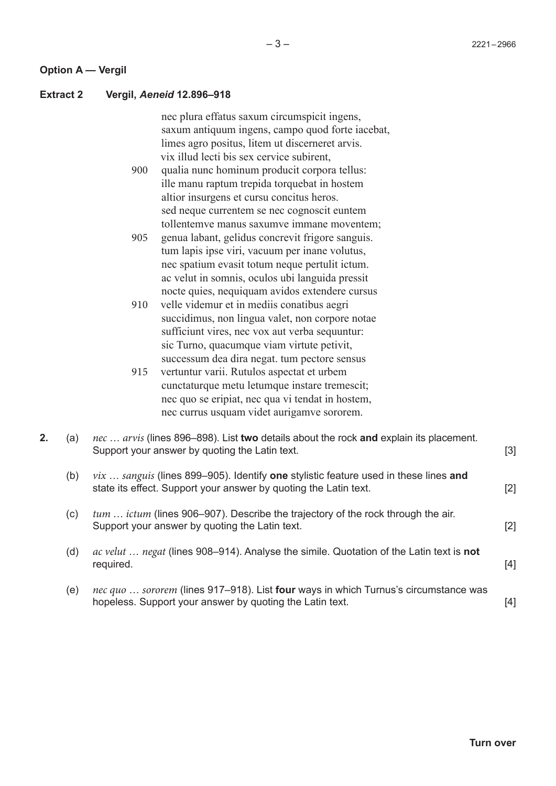#### **Option A — Vergil**

#### **Extract 2 Vergil,** *Aeneid* **12.896–918**

nec plura effatus saxum circumspicit ingens, saxum antiquum ingens, campo quod forte iacebat, limes agro positus, litem ut discerneret arvis. vix illud lecti bis sex cervice subirent,

- qualia nunc hominum producit corpora tellus: ille manu raptum trepida torquebat in hostem altior insurgens et cursu concitus heros. sed neque currentem se nec cognoscit euntem tollentemve manus saxumve immane moventem; 900
- genua labant, gelidus concrevit frigore sanguis. tum lapis ipse viri, vacuum per inane volutus, nec spatium evasit totum neque pertulit ictum. ac velut in somnis, oculos ubi languida pressit nocte quies, nequiquam avidos extendere cursus 905
- velle videmur et in mediis conatibus aegri succidimus, non lingua valet, non corpore notae sufficiunt vires, nec vox aut verba sequuntur: sic Turno, quacumque viam virtute petivit, successum dea dira negat. tum pectore sensus 910
- vertuntur varii. Rutulos aspectat et urbem cunctaturque metu letumque instare tremescit; nec quo se eripiat, nec qua vi tendat in hostem, nec currus usquam videt aurigamve sororem. 915

|  | nec  arvis (lines 896–898). List two details about the rock and explain its placement.<br>Support your answer by quoting the Latin text.                      | $\lceil 3 \rceil$ |
|--|---------------------------------------------------------------------------------------------------------------------------------------------------------------|-------------------|
|  | $\nu$ ix  sanguis (lines 899–905). Identify one stylistic feature used in these lines and<br>state its effect. Support your answer by quoting the Latin text. |                   |

- (c) *tum* … *ictum* (lines 906–907). Describe the trajectory of the rock through the air. Support your answer by quoting the Latin text. [2]
- (d) *ac velut* … *negat* (lines 908–914). Analyse the simile. Quotation of the Latin text is **not** required. [4]
- (e) *nec quo* … *sororem* (lines 917–918). List **four** ways in which Turnus's circumstance was hopeless. Support your answer by quoting the Latin text. [4]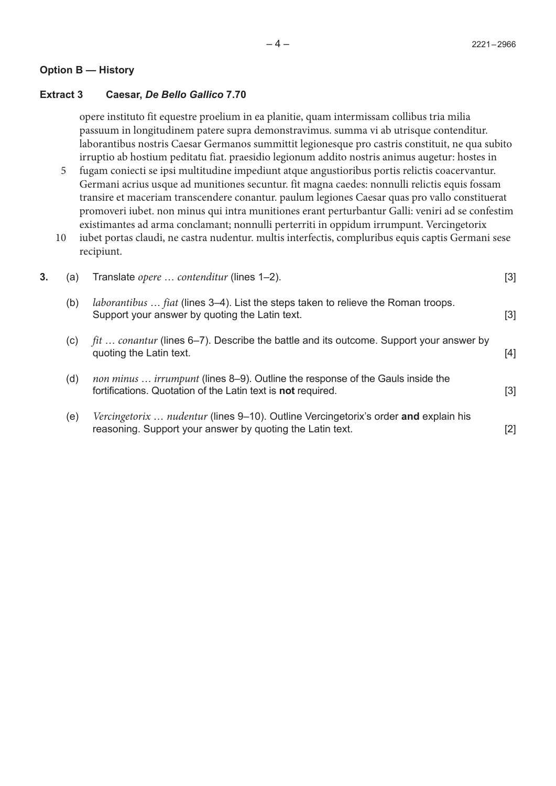## **Option B — History**

## **Extract 3 Caesar,** *De Bello Gallico* **7.70**

opere instituto fit equestre proelium in ea planitie, quam intermissam collibus tria milia passuum in longitudinem patere supra demonstravimus. summa vi ab utrisque contenditur. laborantibus nostris Caesar Germanos summittit legionesque pro castris constituit, ne qua subito irruptio ab hostium peditatu fiat. praesidio legionum addito nostris animus augetur: hostes in

- fugam coniecti se ipsi multitudine impediunt atque angustioribus portis relictis coacervantur. Germani acrius usque ad munitiones secuntur. fit magna caedes: nonnulli relictis equis fossam transire et maceriam transcendere conantur. paulum legiones Caesar quas pro vallo constituerat promoveri iubet. non minus qui intra munitiones erant perturbantur Galli: veniri ad se confestim existimantes ad arma conclamant; nonnulli perterriti in oppidum irrumpunt. Vercingetorix 5
- iubet portas claudi, ne castra nudentur. multis interfectis, compluribus equis captis Germani sese recipiunt. 10

| 3. | (a) | Translate opere  contenditur (lines 1-2).                                                                                                             | $[3] % \includegraphics[width=0.9\columnwidth]{figures/fig_1a} \caption{Schematic diagram of the top of the top of the top of the right.} \label{fig:1} %$ |
|----|-----|-------------------------------------------------------------------------------------------------------------------------------------------------------|------------------------------------------------------------------------------------------------------------------------------------------------------------|
|    | (b) | <i>laborantibus fiat</i> (lines 3–4). List the steps taken to relieve the Roman troops.<br>Support your answer by quoting the Latin text.             | $[3]$                                                                                                                                                      |
|    | (C) | fit  conantur (lines 6–7). Describe the battle and its outcome. Support your answer by<br>quoting the Latin text.                                     | [4]                                                                                                                                                        |
|    | (d) | non minus  irrumpunt (lines 8-9). Outline the response of the Gauls inside the<br>fortifications. Quotation of the Latin text is <b>not</b> required. | $[3]$                                                                                                                                                      |
|    | (e) | Vercingetorix  nudentur (lines 9–10). Outline Vercingetorix's order and explain his<br>reasoning. Support your answer by quoting the Latin text.      | [2]                                                                                                                                                        |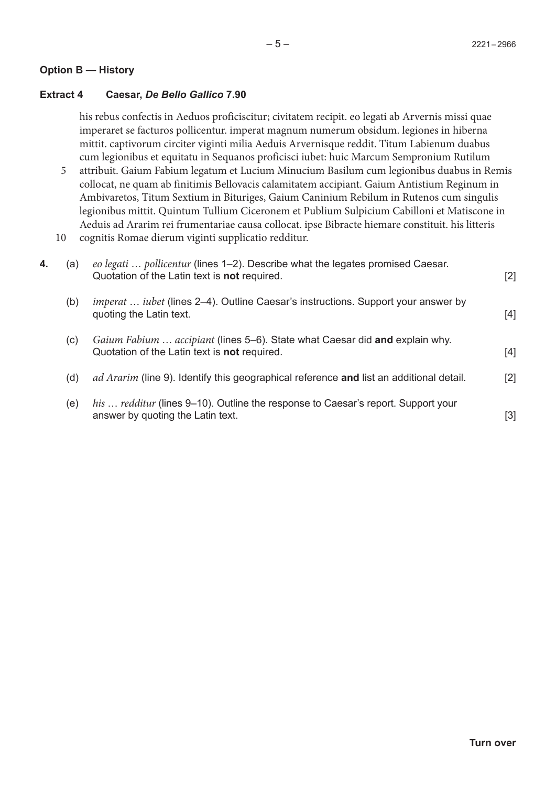## **Option B — History**

## **Extract 4 Caesar,** *De Bello Gallico* **7.90**

his rebus confectis in Aeduos proficiscitur; civitatem recipit. eo legati ab Arvernis missi quae imperaret se facturos pollicentur. imperat magnum numerum obsidum. legiones in hiberna mittit. captivorum circiter viginti milia Aeduis Arvernisque reddit. Titum Labienum duabus cum legionibus et equitatu in Sequanos proficisci iubet: huic Marcum Sempronium Rutilum

- attribuit. Gaium Fabium legatum et Lucium Minucium Basilum cum legionibus duabus in Remis collocat, ne quam ab finitimis Bellovacis calamitatem accipiant. Gaium Antistium Reginum in Ambivaretos, Titum Sextium in Bituriges, Gaium Caninium Rebilum in Rutenos cum singulis legionibus mittit. Quintum Tullium Ciceronem et Publium Sulpicium Cabilloni et Matiscone in Aeduis ad Ararim rei frumentariae causa collocat. ipse Bibracte hiemare constituit. his litteris 5
- cognitis Romae dierum viginti supplicatio redditur. 10

| 4. | (a) | eo legati  pollicentur (lines 1-2). Describe what the legates promised Caesar.<br>Quotation of the Latin text is <b>not</b> required. | $[2]$ |
|----|-----|---------------------------------------------------------------------------------------------------------------------------------------|-------|
|    | (b) | <i>imperat iubet</i> (lines 2–4). Outline Caesar's instructions. Support your answer by<br>quoting the Latin text.                    | $[4]$ |
|    | (c) | Gaium Fabium  accipiant (lines 5–6). State what Caesar did and explain why.<br>Quotation of the Latin text is <b>not</b> required.    | $[4]$ |
|    | (d) | <i>ad Ararim</i> (line 9). Identify this geographical reference and list an additional detail.                                        | $[2]$ |
|    | (e) | his  redditur (lines 9–10). Outline the response to Caesar's report. Support your<br>answer by quoting the Latin text.                | [3]   |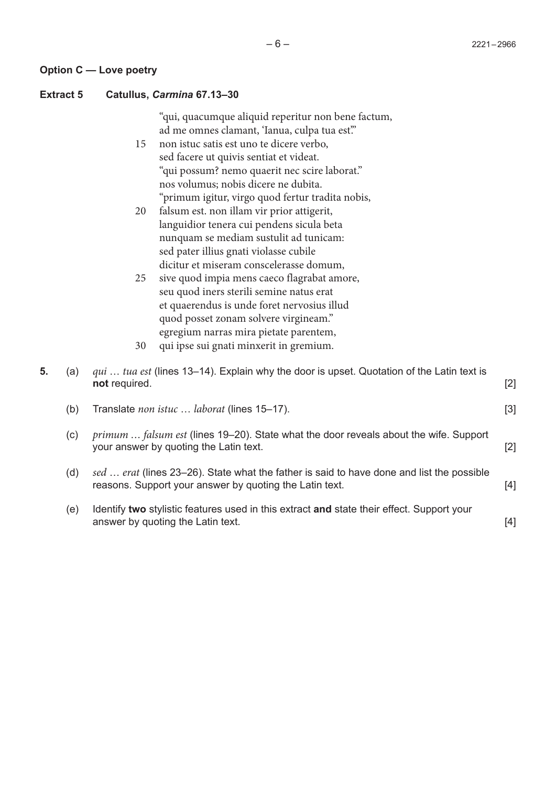## **Extract 5 Catullus,** *Carmina* **67.13–30**

"qui, quacumque aliquid reperitur non bene factum, ad me omnes clamant, 'Ianua, culpa tua est."

- non istuc satis est uno te dicere verbo, sed facere ut quivis sentiat et videat. "qui possum? nemo quaerit nec scire laborat." nos volumus; nobis dicere ne dubita. "primum igitur, virgo quod fertur tradita nobis, 15
- falsum est. non illam vir prior attigerit, languidior tenera cui pendens sicula beta nunquam se mediam sustulit ad tunicam: sed pater illius gnati violasse cubile dicitur et miseram conscelerasse domum, 20
- sive quod impia mens caeco flagrabat amore, seu quod iners sterili semine natus erat et quaerendus is unde foret nervosius illud quod posset zonam solvere virgineam." egregium narras mira pietate parentem, 25
- qui ipse sui gnati minxerit in gremium. 30

| 5. | (a)                        | qui  tua est (lines 13–14). Explain why the door is upset. Quotation of the Latin text is<br>not required.                                           | $[2]$ |
|----|----------------------------|------------------------------------------------------------------------------------------------------------------------------------------------------|-------|
|    | (b)                        | Translate <i>non istuc laborat</i> (lines 15–17).                                                                                                    | $[3]$ |
|    | $\left( \mathrm{c}\right)$ | <i>primum  falsum est</i> (lines 19–20). State what the door reveals about the wife. Support<br>your answer by quoting the Latin text.               | [2]   |
|    | (d)                        | sed  erat (lines 23–26). State what the father is said to have done and list the possible<br>reasons. Support your answer by quoting the Latin text. | [4]   |
|    | (e)                        | Identify two stylistic features used in this extract and state their effect. Support your<br>answer by quoting the Latin text.                       | [4]   |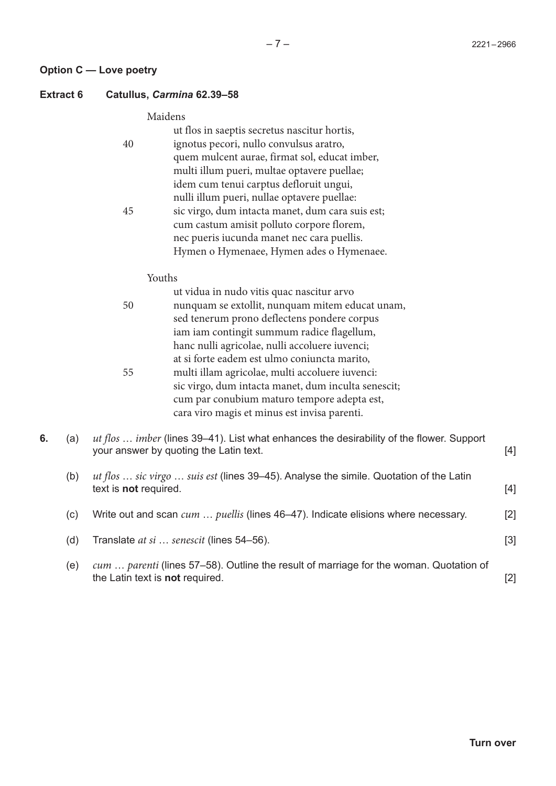### **Option C — Love poetry**

#### **Extract 6 Catullus,** *Carmina* **62.39–58**

### Maidens

|    | ut flos in saeptis secretus nascitur hortis,     |
|----|--------------------------------------------------|
| 40 | ignotus pecori, nullo convulsus aratro,          |
|    | quem mulcent aurae, firmat sol, educat imber,    |
|    | multi illum pueri, multae optavere puellae;      |
|    | idem cum tenui carptus defloruit ungui,          |
|    | nulli illum pueri, nullae optavere puellae:      |
| 45 | sic virgo, dum intacta manet, dum cara suis est; |
|    | cum castum amisit polluto corpore florem,        |
|    | nec pueris iucunda manet nec cara puellis.       |
|    | Hymen o Hymenaee, Hymen ades o Hymenaee.         |
|    |                                                  |

#### Youths

|    | Youths                                              |
|----|-----------------------------------------------------|
|    | ut vidua in nudo vitis quac nascitur arvo           |
| 50 | nunquam se extollit, nunquam mitem educat unam,     |
|    | sed tenerum prono deflectens pondere corpus         |
|    | iam iam contingit summum radice flagellum,          |
|    | hanc nulli agricolae, nulli accoluere iuvenci;      |
|    | at si forte eadem est ulmo coniuncta marito,        |
| 55 | multi illam agricolae, multi accoluere iuvenci:     |
|    | sic virgo, dum intacta manet, dum inculta senescit; |
|    | cum par conubium maturo tempore adepta est,         |
|    | cara viro magis et minus est invisa parenti.        |

**6.** (a) *ut flos* … *imber* (lines 39–41). List what enhances the desirability of the flower. Support your answer by quoting the Latin text. [4]

| (b) | ut flos  sic virgo  suis est (lines 39–45). Analyse the simile. Quotation of the Latin<br>text is <b>not</b> required. | [4]   |
|-----|------------------------------------------------------------------------------------------------------------------------|-------|
| (C) | Write out and scan <i>cum puellis</i> (lines 46–47). Indicate elisions where necessary.                                | $[2]$ |
| (d) | Translate at si  senescit (lines 54-56).                                                                               |       |

(e) *cum* … *parenti* (lines 57–58). Outline the result of marriage for the woman. Quotation of the Latin text is **not** required. [2]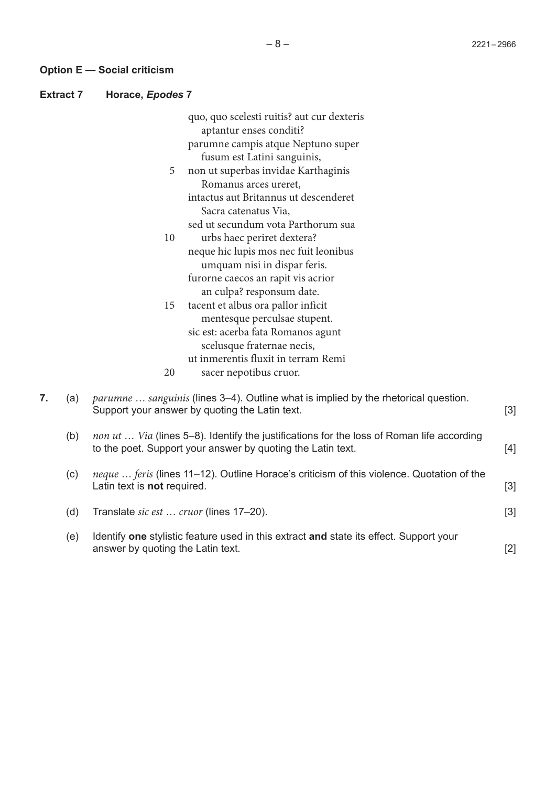**Option E — Social criticism**

**Extract 7 Horace,** *Epodes* **7**

|    |     | quo, quo scelesti ruitis? aut cur dexteris<br>aptantur enses conditi?                                                                                    |       |
|----|-----|----------------------------------------------------------------------------------------------------------------------------------------------------------|-------|
|    |     | parumne campis atque Neptuno super                                                                                                                       |       |
|    |     | fusum est Latini sanguinis,                                                                                                                              |       |
|    |     | non ut superbas invidae Karthaginis<br>5<br>Romanus arces ureret,                                                                                        |       |
|    |     | intactus aut Britannus ut descenderet                                                                                                                    |       |
|    |     | Sacra catenatus Via,                                                                                                                                     |       |
|    |     | sed ut secundum vota Parthorum sua                                                                                                                       |       |
|    |     | urbs haec periret dextera?<br>10                                                                                                                         |       |
|    |     | neque hic lupis mos nec fuit leonibus                                                                                                                    |       |
|    |     | umquam nisi in dispar feris.<br>furorne caecos an rapit vis acrior                                                                                       |       |
|    |     | an culpa? responsum date.                                                                                                                                |       |
|    |     | tacent et albus ora pallor inficit<br>15                                                                                                                 |       |
|    |     | mentesque perculsae stupent.                                                                                                                             |       |
|    |     | sic est: acerba fata Romanos agunt                                                                                                                       |       |
|    |     | scelusque fraternae necis,                                                                                                                               |       |
|    |     | ut inmerentis fluxit in terram Remi                                                                                                                      |       |
|    |     | 20<br>sacer nepotibus cruor.                                                                                                                             |       |
| 7. | (a) | parumne  sanguinis (lines 3–4). Outline what is implied by the rhetorical question.<br>Support your answer by quoting the Latin text.                    | $[3]$ |
|    | (b) | non ut  Via (lines 5–8). Identify the justifications for the loss of Roman life according<br>to the poet. Support your answer by quoting the Latin text. | [4]   |
|    | (c) | neque  feris (lines 11-12). Outline Horace's criticism of this violence. Quotation of the<br>Latin text is not required.                                 | $[3]$ |
|    | (d) | Translate sic est  cruor (lines 17-20).                                                                                                                  | $[3]$ |
|    | (e) | Identify one stylistic feature used in this extract and state its effect. Support your<br>answer by quoting the Latin text.                              | $[2]$ |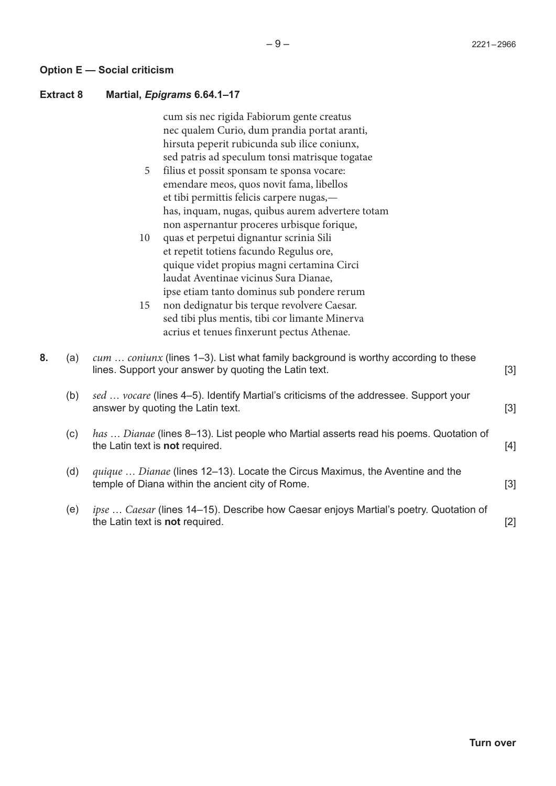#### **Option E — Social criticism**

#### **Extract 8 Martial,** *Epigrams* **6.64.1–17**

cum sis nec rigida Fabiorum gente creatus nec qualem Curio, dum prandia portat aranti, hirsuta peperit rubicunda sub ilice coniunx, sed patris ad speculum tonsi matrisque togatae

- filius et possit sponsam te sponsa vocare: emendare meos, quos novit fama, libellos et tibi permittis felicis carpere nugas, has, inquam, nugas, quibus aurem advertere totam non aspernantur proceres urbisque forique, 5
- quas et perpetui dignantur scrinia Sili et repetit totiens facundo Regulus ore, quique videt propius magni certamina Circi laudat Aventinae vicinus Sura Dianae, ipse etiam tanto dominus sub pondere rerum 10
- non dedignatur bis terque revolvere Caesar. sed tibi plus mentis, tibi cor limante Minerva acrius et tenues finxerunt pectus Athenae. 15

| 8. | (a) | cum  coniunx (lines 1–3). List what family background is worthy according to these<br>lines. Support your answer by quoting the Latin text. | $[3]$ |
|----|-----|---------------------------------------------------------------------------------------------------------------------------------------------|-------|
|    | (b) | sed  vocare (lines 4–5). Identify Martial's criticisms of the addressee. Support your<br>answer by quoting the Latin text.                  | $[3]$ |
|    | (c) | has  Dianae (lines 8–13). List people who Martial asserts read his poems. Quotation of<br>the Latin text is <b>not</b> required.            | $[4]$ |
|    | (d) | quique  Dianae (lines 12–13). Locate the Circus Maximus, the Aventine and the<br>temple of Diana within the ancient city of Rome.           | $[3]$ |
|    | (e) | <i>ipse  Caesar</i> (lines 14–15). Describe how Caesar enjoys Martial's poetry. Quotation of<br>the Latin text is <b>not</b> required.      | $[2]$ |
|    |     |                                                                                                                                             |       |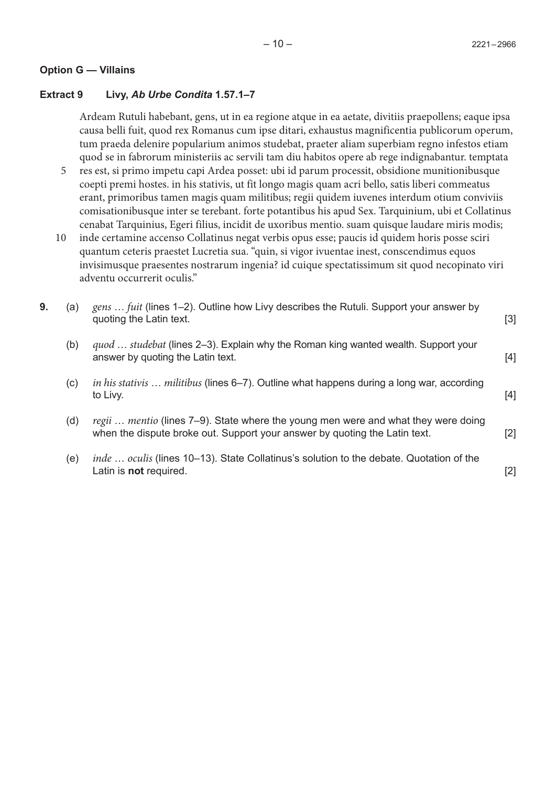## **Option G — Villains**

## **Extract 9 Livy,** *Ab Urbe Condita* **1.57.1–7**

Ardeam Rutuli habebant, gens, ut in ea regione atque in ea aetate, divitiis praepollens; eaque ipsa causa belli fuit, quod rex Romanus cum ipse ditari, exhaustus magnificentia publicorum operum, tum praeda delenire popularium animos studebat, praeter aliam superbiam regno infestos etiam quod se in fabrorum ministeriis ac servili tam diu habitos opere ab rege indignabantur. temptata

- res est, si primo impetu capi Ardea posset: ubi id parum processit, obsidione munitionibusque coepti premi hostes. in his stativis, ut fit longo magis quam acri bello, satis liberi commeatus erant, primoribus tamen magis quam militibus; regii quidem iuvenes interdum otium conviviis comisationibusque inter se terebant. forte potantibus his apud Sex. Tarquinium, ubi et Collatinus cenabat Tarquinius, Egeri filius, incidit de uxoribus mentio. suam quisque laudare miris modis; 5
- inde certamine accenso Collatinus negat verbis opus esse; paucis id quidem horis posse sciri quantum ceteris praestet Lucretia sua. "quin, si vigor ivuentae inest, conscendimus equos invisimusque praesentes nostrarum ingenia? id cuique spectatissimum sit quod necopinato viri adventu occurrerit oculis." 10

| 9. | (a) | gens  fuit (lines 1–2). Outline how Livy describes the Rutuli. Support your answer by<br>quoting the Latin text.                                                 | $[3]$ |
|----|-----|------------------------------------------------------------------------------------------------------------------------------------------------------------------|-------|
|    | (b) | quod  studebat (lines 2-3). Explain why the Roman king wanted wealth. Support your<br>answer by quoting the Latin text.                                          | $[4]$ |
|    | (c) | <i>in his stativis militibus</i> (lines 6–7). Outline what happens during a long war, according<br>to Livy.                                                      | $[4]$ |
|    | (d) | regii  mentio (lines 7-9). State where the young men were and what they were doing<br>when the dispute broke out. Support your answer by quoting the Latin text. | $[2]$ |
|    | (e) | inde  oculis (lines 10–13). State Collatinus's solution to the debate. Quotation of the<br>Latin is <b>not</b> required.                                         | [2]   |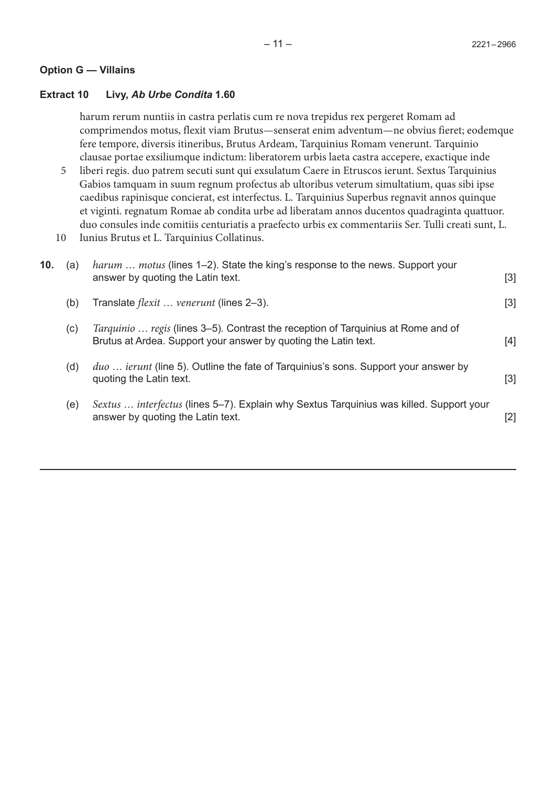## **Option G — Villains**

# **Extract 10 Livy,** *Ab Urbe Condita* **1.60**

harum rerum nuntiis in castra perlatis cum re nova trepidus rex pergeret Romam ad comprimendos motus, flexit viam Brutus—senserat enim adventum—ne obvius fieret; eodemque fere tempore, diversis itineribus, Brutus Ardeam, Tarquinius Romam venerunt. Tarquinio clausae portae exsiliumque indictum: liberatorem urbis laeta castra accepere, exactique inde

- liberi regis. duo patrem secuti sunt qui exsulatum Caere in Etruscos ierunt. Sextus Tarquinius Gabios tamquam in suum regnum profectus ab ultoribus veterum simultatium, quas sibi ipse caedibus rapinisque concierat, est interfectus. L. Tarquinius Superbus regnavit annos quinque et viginti. regnatum Romae ab condita urbe ad liberatam annos ducentos quadraginta quattuor. duo consules inde comitiis centuriatis a praefecto urbis ex commentariis Ser. Tulli creati sunt, L. 5
- Iunius Brutus et L. Tarquinius Collatinus. 10

| 10. | (a) | harum  motus (lines 1-2). State the king's response to the news. Support your<br>answer by quoting the Latin text.                                   | $[3]$ |
|-----|-----|------------------------------------------------------------------------------------------------------------------------------------------------------|-------|
|     | (b) | Translate <i>flexit </i> venerunt (lines 2–3).                                                                                                       | $[3]$ |
|     | (c) | Tarquinio  regis (lines 3-5). Contrast the reception of Tarquinius at Rome and of<br>Brutus at Ardea. Support your answer by quoting the Latin text. | [4]   |
|     | (d) | <i>duo  ierunt</i> (line 5). Outline the fate of Tarquinius's sons. Support your answer by<br>quoting the Latin text.                                | $[3]$ |
|     | (e) | Sextus  interfectus (lines 5-7). Explain why Sextus Tarquinius was killed. Support your<br>answer by quoting the Latin text.                         | $[2]$ |
|     |     |                                                                                                                                                      |       |